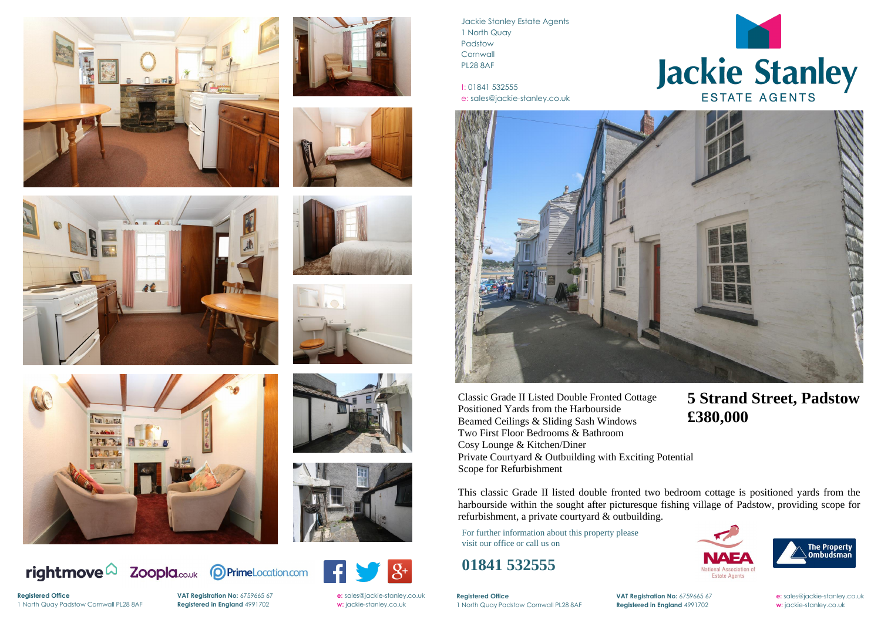



















**VAT Registration No:** 6759665 67 **e:** [sales@jackie-stanley.co.uk](mailto:sales@jackie-stanley.co.uk)

Jackie Stanley Estate Agents 1 North Quay Padstow **Cornwall** PL28 8AF

t: 01841 532555 e: sales@jackie-stanley.co.uk



**Registered Office VAT Registration No:** 6759665 67 **e:** [sales@jackie-stanley.co.uk](mailto:sales@jackie-stanley.co.uk) 1 North Quay Padstow Cornwall PL28 8AF **Registered in England** 4991702 **w:** jackie-stanley.co.uk

For further information about this property please visit our office or call us on

### **01841 532555**

Classic Grade II Listed Double Fronted Cottage Positioned Yards from the Harbourside Beamed Ceilings & Sliding Sash Windows Two First Floor Bedrooms & Bathroom Cosy Lounge & Kitchen/Diner Private Courtyard & Outbuilding with Exciting Potential Scope for Refurbishment

**Registered Office** 1 North Quay Padstow Cornwall PL28 8AF **Registered in England** 4991702 **w:** jackie-stanley.co.uk



This classic Grade II listed double fronted two bedroom cottage is positioned yards from the harbourside within the sought after picturesque fishing village of Padstow, providing scope for refurbishment, a private courtyard & outbuilding.

## **5 Strand Street, Padstow £380,000**